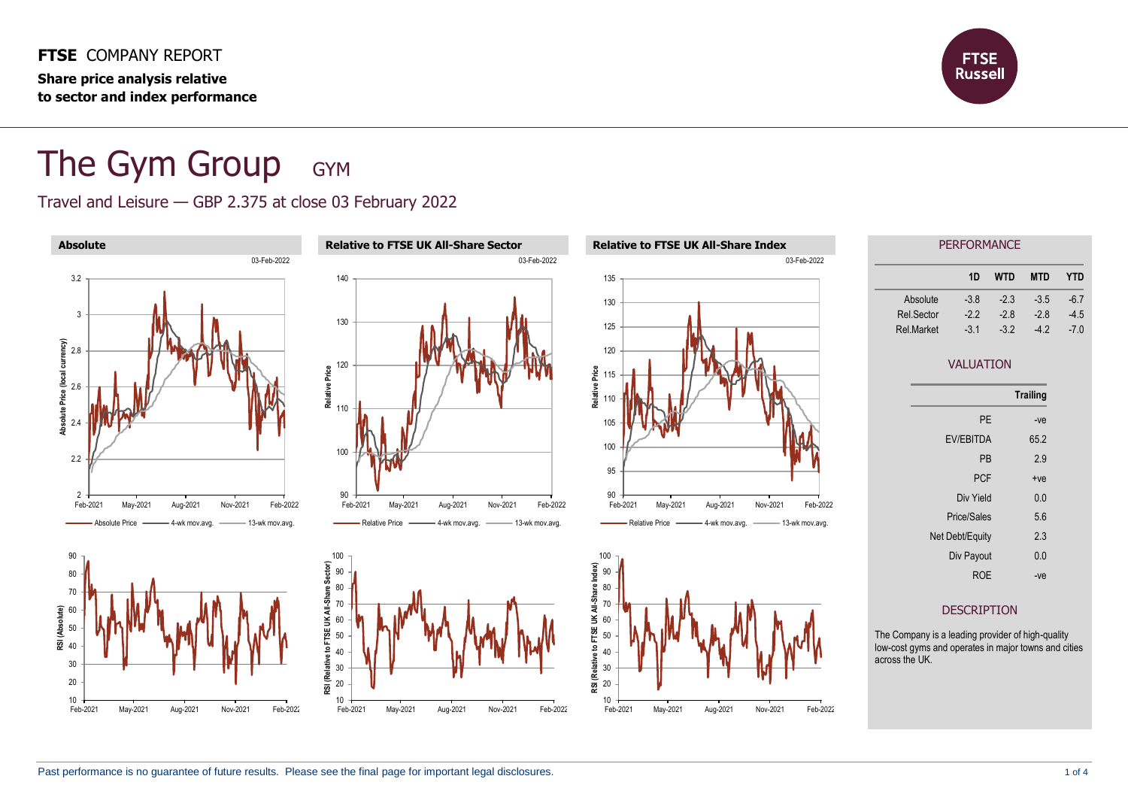**FTSE** COMPANY REPORT **Share price analysis relative to sector and index performance**



# The Gym Group GYM

#### Travel and Leisure — GBP 2.375 at close 03 February 2022

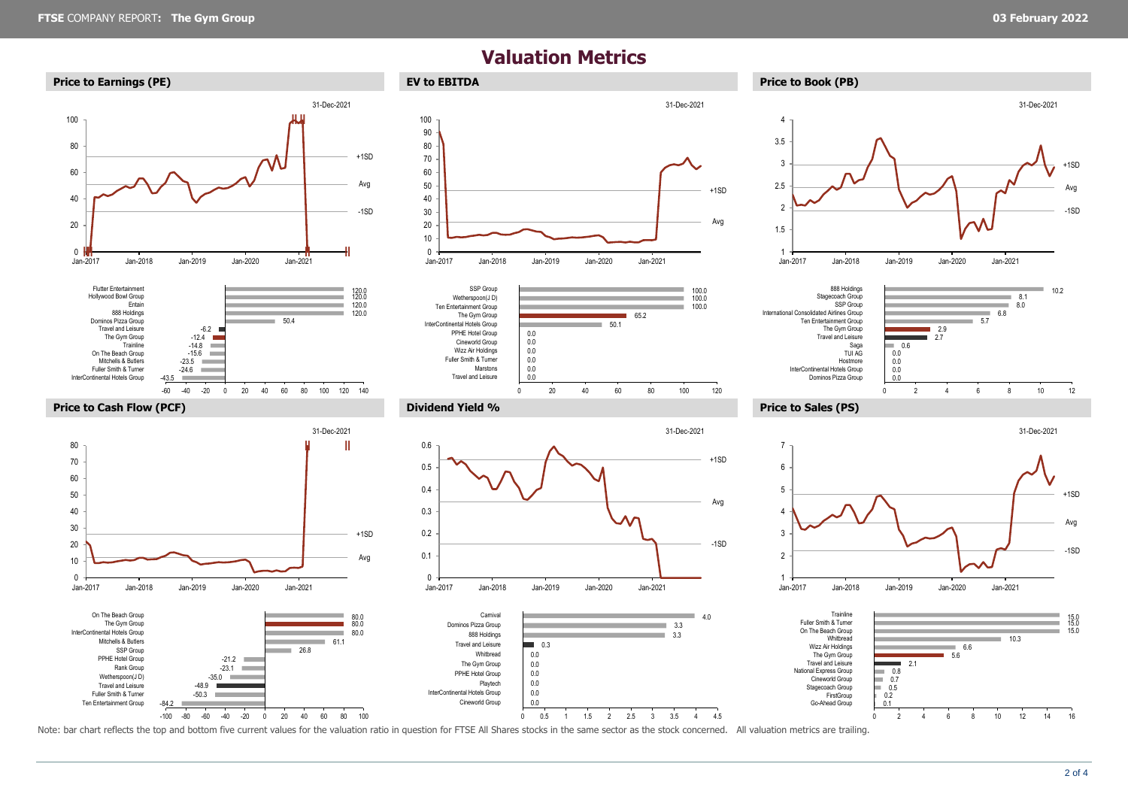## **Valuation Metrics**













-84.2

**COL** 

Ten Entertainment Group Fuller Smith & Turner -50.3

m.

-100 -80 -60 -40 -20 0 20 40 60 80 100











Note: bar chart reflects the top and bottom five current values for the valuation ratio in question for FTSE All Shares stocks in the same sector as the stock concerned. All valuation metrics are trailing.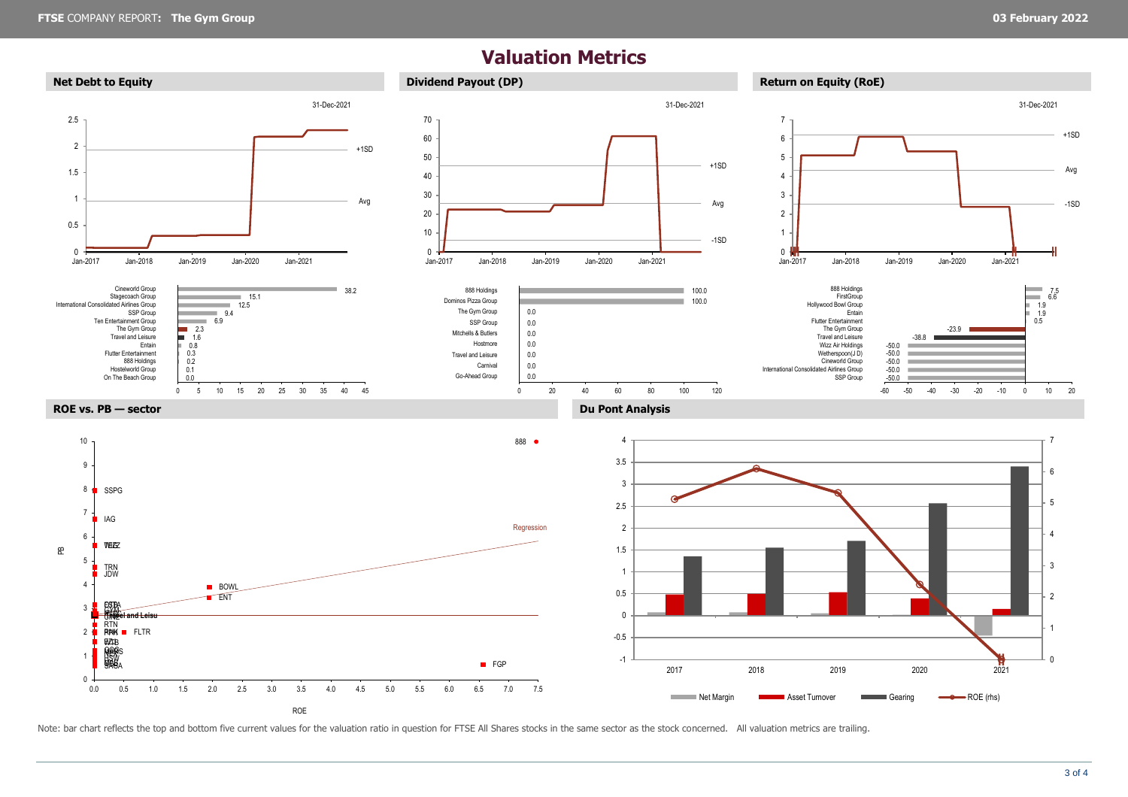### **Valuation Metrics**



Note: bar chart reflects the top and bottom five current values for the valuation ratio in question for FTSE All Shares stocks in the same sector as the stock concerned. All valuation metrics are trailing.